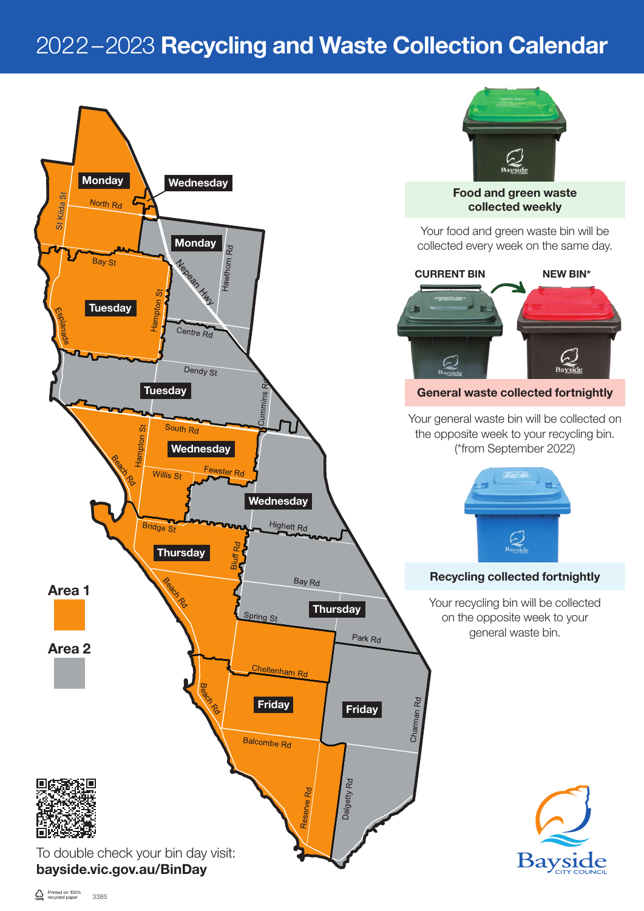## 2022–2023 Recycling and Waste Collection Calendar